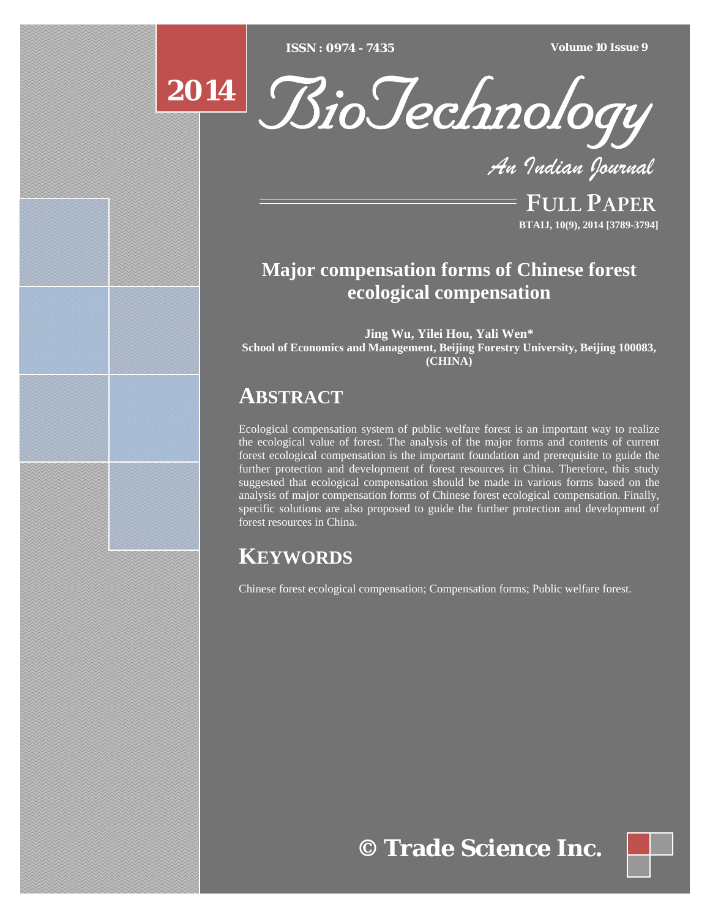[Type text] [Type text] [Type text] *ISSN : 0974 - 7435 Volume 10 Issue 9*





*An Indian Journal*

FULL PAPER **BTAIJ, 10(9), 2014 [3789-3794]**

### **Major compensation forms of Chinese forest ecological compensation**

**Jing Wu, Yilei Hou, Yali Wen\* School of Economics and Management, Beijing Forestry University, Beijing 100083, (CHINA)**

## **ABSTRACT**

Ecological compensation system of public welfare forest is an important way to realize the ecological value of forest. The analysis of the major forms and contents of current forest ecological compensation is the important foundation and prerequisite to guide the further protection and development of forest resources in China. Therefore, this study suggested that ecological compensation should be made in various forms based on the analysis of major compensation forms of Chinese forest ecological compensation. Finally, specific solutions are also proposed to guide the further protection and development of forest resources in China.

## **KEYWORDS**

Chinese forest ecological compensation; Compensation forms; Public welfare forest.

# **© Trade Science Inc.**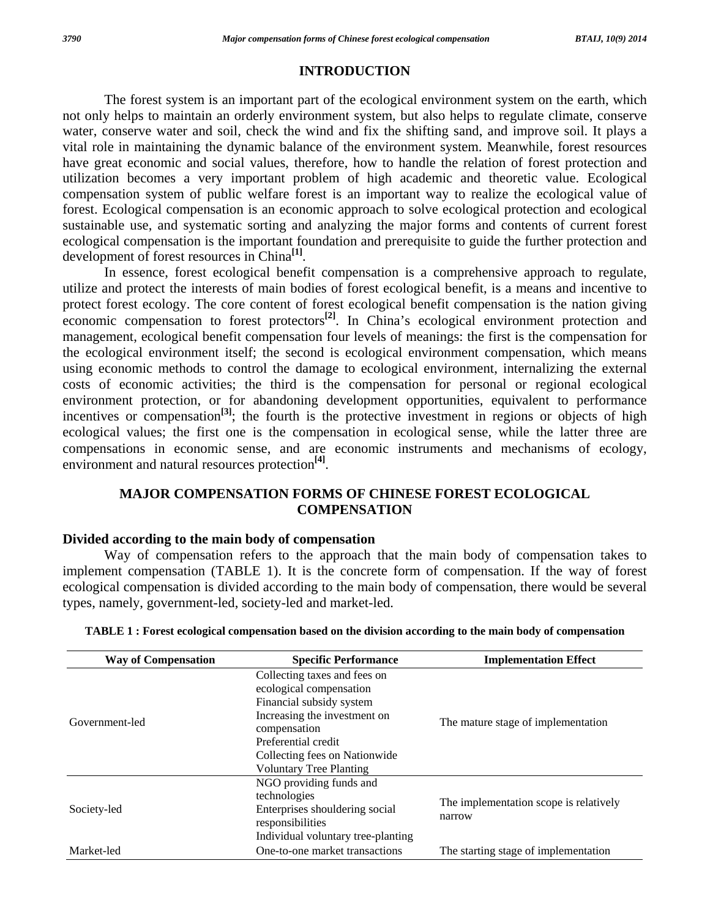#### **INTRODUCTION**

 The forest system is an important part of the ecological environment system on the earth, which not only helps to maintain an orderly environment system, but also helps to regulate climate, conserve water, conserve water and soil, check the wind and fix the shifting sand, and improve soil. It plays a vital role in maintaining the dynamic balance of the environment system. Meanwhile, forest resources have great economic and social values, therefore, how to handle the relation of forest protection and utilization becomes a very important problem of high academic and theoretic value. Ecological compensation system of public welfare forest is an important way to realize the ecological value of forest. Ecological compensation is an economic approach to solve ecological protection and ecological sustainable use, and systematic sorting and analyzing the major forms and contents of current forest ecological compensation is the important foundation and prerequisite to guide the further protection and development of forest resources in China**[1]**.

 In essence, forest ecological benefit compensation is a comprehensive approach to regulate, utilize and protect the interests of main bodies of forest ecological benefit, is a means and incentive to protect forest ecology. The core content of forest ecological benefit compensation is the nation giving economic compensation to forest protectors<sup>[2]</sup>. In China's ecological environment protection and management, ecological benefit compensation four levels of meanings: the first is the compensation for the ecological environment itself; the second is ecological environment compensation, which means using economic methods to control the damage to ecological environment, internalizing the external costs of economic activities; the third is the compensation for personal or regional ecological environment protection, or for abandoning development opportunities, equivalent to performance incentives or compensation<sup>[3]</sup>; the fourth is the protective investment in regions or objects of high ecological values; the first one is the compensation in ecological sense, while the latter three are compensations in economic sense, and are economic instruments and mechanisms of ecology, environment and natural resources protection**[4]**.

### **MAJOR COMPENSATION FORMS OF CHINESE FOREST ECOLOGICAL COMPENSATION**

#### **Divided according to the main body of compensation**

 Way of compensation refers to the approach that the main body of compensation takes to implement compensation (TABLE 1). It is the concrete form of compensation. If the way of forest ecological compensation is divided according to the main body of compensation, there would be several types, namely, government-led, society-led and market-led.

| <b>Way of Compensation</b> | <b>Specific Performance</b>                             | <b>Implementation Effect</b>                     |  |  |
|----------------------------|---------------------------------------------------------|--------------------------------------------------|--|--|
|                            | Collecting taxes and fees on<br>ecological compensation |                                                  |  |  |
|                            | Financial subsidy system                                |                                                  |  |  |
| Government-led             | Increasing the investment on<br>compensation            | The mature stage of implementation               |  |  |
|                            | Preferential credit                                     |                                                  |  |  |
|                            | Collecting fees on Nationwide                           |                                                  |  |  |
|                            | <b>Voluntary Tree Planting</b>                          |                                                  |  |  |
|                            | NGO providing funds and                                 | The implementation scope is relatively<br>narrow |  |  |
|                            | technologies                                            |                                                  |  |  |
| Society-led                | Enterprises shouldering social<br>responsibilities      |                                                  |  |  |
|                            | Individual voluntary tree-planting                      |                                                  |  |  |
| Market-led                 | One-to-one market transactions                          | The starting stage of implementation             |  |  |

|  | TABLE 1 : Forest ecological compensation based on the division according to the main body of compensation |  |  |  |
|--|-----------------------------------------------------------------------------------------------------------|--|--|--|
|  |                                                                                                           |  |  |  |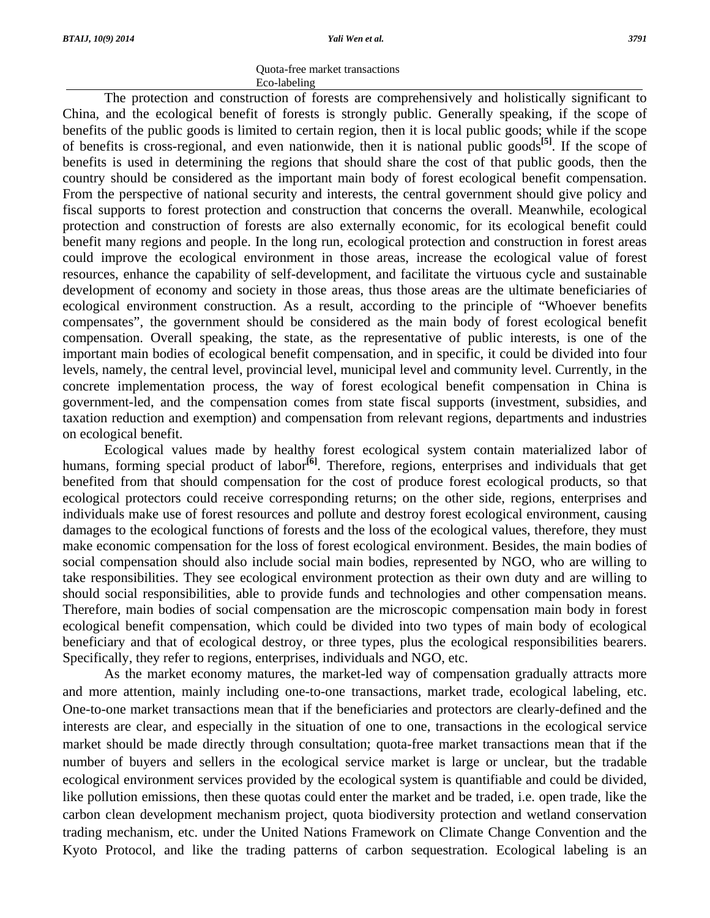#### Quota-free market transactions Eco-labeling

 The protection and construction of forests are comprehensively and holistically significant to China, and the ecological benefit of forests is strongly public. Generally speaking, if the scope of benefits of the public goods is limited to certain region, then it is local public goods; while if the scope of benefits is cross-regional, and even nationwide, then it is national public goods**[5]**. If the scope of benefits is used in determining the regions that should share the cost of that public goods, then the country should be considered as the important main body of forest ecological benefit compensation. From the perspective of national security and interests, the central government should give policy and fiscal supports to forest protection and construction that concerns the overall. Meanwhile, ecological protection and construction of forests are also externally economic, for its ecological benefit could benefit many regions and people. In the long run, ecological protection and construction in forest areas could improve the ecological environment in those areas, increase the ecological value of forest resources, enhance the capability of self-development, and facilitate the virtuous cycle and sustainable development of economy and society in those areas, thus those areas are the ultimate beneficiaries of ecological environment construction. As a result, according to the principle of "Whoever benefits compensates", the government should be considered as the main body of forest ecological benefit compensation. Overall speaking, the state, as the representative of public interests, is one of the important main bodies of ecological benefit compensation, and in specific, it could be divided into four levels, namely, the central level, provincial level, municipal level and community level. Currently, in the concrete implementation process, the way of forest ecological benefit compensation in China is government-led, and the compensation comes from state fiscal supports (investment, subsidies, and taxation reduction and exemption) and compensation from relevant regions, departments and industries on ecological benefit.

 Ecological values made by healthy forest ecological system contain materialized labor of humans, forming special product of labor<sup>[6]</sup>. Therefore, regions, enterprises and individuals that get benefited from that should compensation for the cost of produce forest ecological products, so that ecological protectors could receive corresponding returns; on the other side, regions, enterprises and individuals make use of forest resources and pollute and destroy forest ecological environment, causing damages to the ecological functions of forests and the loss of the ecological values, therefore, they must make economic compensation for the loss of forest ecological environment. Besides, the main bodies of social compensation should also include social main bodies, represented by NGO, who are willing to take responsibilities. They see ecological environment protection as their own duty and are willing to should social responsibilities, able to provide funds and technologies and other compensation means. Therefore, main bodies of social compensation are the microscopic compensation main body in forest ecological benefit compensation, which could be divided into two types of main body of ecological beneficiary and that of ecological destroy, or three types, plus the ecological responsibilities bearers. Specifically, they refer to regions, enterprises, individuals and NGO, etc.

 As the market economy matures, the market-led way of compensation gradually attracts more and more attention, mainly including one-to-one transactions, market trade, ecological labeling, etc. One-to-one market transactions mean that if the beneficiaries and protectors are clearly-defined and the interests are clear, and especially in the situation of one to one, transactions in the ecological service market should be made directly through consultation; quota-free market transactions mean that if the number of buyers and sellers in the ecological service market is large or unclear, but the tradable ecological environment services provided by the ecological system is quantifiable and could be divided, like pollution emissions, then these quotas could enter the market and be traded, i.e. open trade, like the carbon clean development mechanism project, quota biodiversity protection and wetland conservation trading mechanism, etc. under the United Nations Framework on Climate Change Convention and the Kyoto Protocol, and like the trading patterns of carbon sequestration. Ecological labeling is an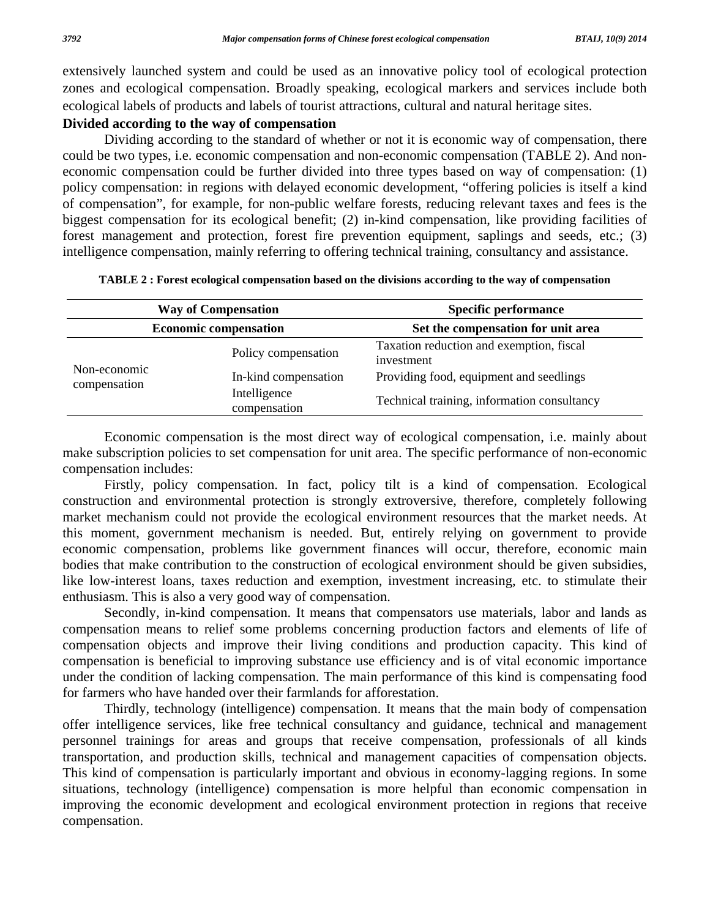extensively launched system and could be used as an innovative policy tool of ecological protection zones and ecological compensation. Broadly speaking, ecological markers and services include both ecological labels of products and labels of tourist attractions, cultural and natural heritage sites.

### **Divided according to the way of compensation**

 Dividing according to the standard of whether or not it is economic way of compensation, there could be two types, i.e. economic compensation and non-economic compensation (TABLE 2). And noneconomic compensation could be further divided into three types based on way of compensation: (1) policy compensation: in regions with delayed economic development, "offering policies is itself a kind of compensation", for example, for non-public welfare forests, reducing relevant taxes and fees is the biggest compensation for its ecological benefit; (2) in-kind compensation, like providing facilities of forest management and protection, forest fire prevention equipment, saplings and seeds, etc.; (3) intelligence compensation, mainly referring to offering technical training, consultancy and assistance.

| <b>Way of Compensation</b><br><b>Economic compensation</b> |                              | <b>Specific performance</b><br>Set the compensation for unit area |  |  |
|------------------------------------------------------------|------------------------------|-------------------------------------------------------------------|--|--|
|                                                            |                              |                                                                   |  |  |
| Non-economic<br>compensation                               | In-kind compensation         | Providing food, equipment and seedlings                           |  |  |
|                                                            | Intelligence<br>compensation | Technical training, information consultancy                       |  |  |

**TABLE 2 : Forest ecological compensation based on the divisions according to the way of compensation** 

 Economic compensation is the most direct way of ecological compensation, i.e. mainly about make subscription policies to set compensation for unit area. The specific performance of non-economic compensation includes:

 Firstly, policy compensation. In fact, policy tilt is a kind of compensation. Ecological construction and environmental protection is strongly extroversive, therefore, completely following market mechanism could not provide the ecological environment resources that the market needs. At this moment, government mechanism is needed. But, entirely relying on government to provide economic compensation, problems like government finances will occur, therefore, economic main bodies that make contribution to the construction of ecological environment should be given subsidies, like low-interest loans, taxes reduction and exemption, investment increasing, etc. to stimulate their enthusiasm. This is also a very good way of compensation.

 Secondly, in-kind compensation. It means that compensators use materials, labor and lands as compensation means to relief some problems concerning production factors and elements of life of compensation objects and improve their living conditions and production capacity. This kind of compensation is beneficial to improving substance use efficiency and is of vital economic importance under the condition of lacking compensation. The main performance of this kind is compensating food for farmers who have handed over their farmlands for afforestation.

 Thirdly, technology (intelligence) compensation. It means that the main body of compensation offer intelligence services, like free technical consultancy and guidance, technical and management personnel trainings for areas and groups that receive compensation, professionals of all kinds transportation, and production skills, technical and management capacities of compensation objects. This kind of compensation is particularly important and obvious in economy-lagging regions. In some situations, technology (intelligence) compensation is more helpful than economic compensation in improving the economic development and ecological environment protection in regions that receive compensation.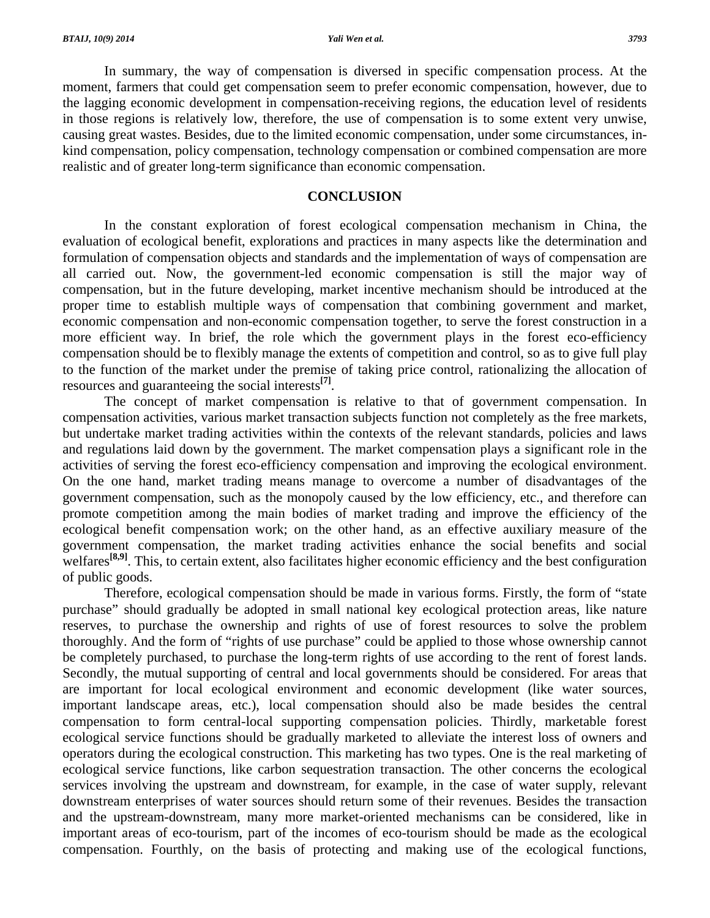In summary, the way of compensation is diversed in specific compensation process. At the moment, farmers that could get compensation seem to prefer economic compensation, however, due to the lagging economic development in compensation-receiving regions, the education level of residents in those regions is relatively low, therefore, the use of compensation is to some extent very unwise, causing great wastes. Besides, due to the limited economic compensation, under some circumstances, inkind compensation, policy compensation, technology compensation or combined compensation are more realistic and of greater long-term significance than economic compensation.

#### **CONCLUSION**

 In the constant exploration of forest ecological compensation mechanism in China, the evaluation of ecological benefit, explorations and practices in many aspects like the determination and formulation of compensation objects and standards and the implementation of ways of compensation are all carried out. Now, the government-led economic compensation is still the major way of compensation, but in the future developing, market incentive mechanism should be introduced at the proper time to establish multiple ways of compensation that combining government and market, economic compensation and non-economic compensation together, to serve the forest construction in a more efficient way. In brief, the role which the government plays in the forest eco-efficiency compensation should be to flexibly manage the extents of competition and control, so as to give full play to the function of the market under the premise of taking price control, rationalizing the allocation of resources and guaranteeing the social interests**[7]**.

 The concept of market compensation is relative to that of government compensation. In compensation activities, various market transaction subjects function not completely as the free markets, but undertake market trading activities within the contexts of the relevant standards, policies and laws and regulations laid down by the government. The market compensation plays a significant role in the activities of serving the forest eco-efficiency compensation and improving the ecological environment. On the one hand, market trading means manage to overcome a number of disadvantages of the government compensation, such as the monopoly caused by the low efficiency, etc., and therefore can promote competition among the main bodies of market trading and improve the efficiency of the ecological benefit compensation work; on the other hand, as an effective auxiliary measure of the government compensation, the market trading activities enhance the social benefits and social welfares<sup>[8,9]</sup>. This, to certain extent, also facilitates higher economic efficiency and the best configuration of public goods.

 Therefore, ecological compensation should be made in various forms. Firstly, the form of "state purchase" should gradually be adopted in small national key ecological protection areas, like nature reserves, to purchase the ownership and rights of use of forest resources to solve the problem thoroughly. And the form of "rights of use purchase" could be applied to those whose ownership cannot be completely purchased, to purchase the long-term rights of use according to the rent of forest lands. Secondly, the mutual supporting of central and local governments should be considered. For areas that are important for local ecological environment and economic development (like water sources, important landscape areas, etc.), local compensation should also be made besides the central compensation to form central-local supporting compensation policies. Thirdly, marketable forest ecological service functions should be gradually marketed to alleviate the interest loss of owners and operators during the ecological construction. This marketing has two types. One is the real marketing of ecological service functions, like carbon sequestration transaction. The other concerns the ecological services involving the upstream and downstream, for example, in the case of water supply, relevant downstream enterprises of water sources should return some of their revenues. Besides the transaction and the upstream-downstream, many more market-oriented mechanisms can be considered, like in important areas of eco-tourism, part of the incomes of eco-tourism should be made as the ecological compensation. Fourthly, on the basis of protecting and making use of the ecological functions,